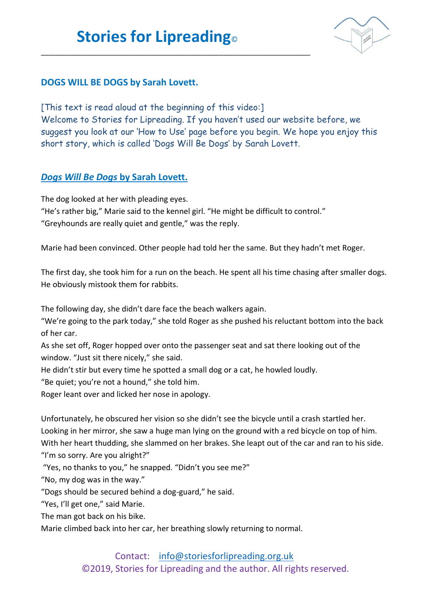\_\_\_\_\_\_\_\_\_\_\_\_\_\_\_\_\_\_\_\_\_\_\_\_\_\_\_\_\_\_\_\_\_\_\_\_\_\_\_\_\_\_\_\_\_\_\_\_\_\_\_\_\_\_\_\_\_\_\_\_\_\_\_\_\_\_\_\_



## **DOGS WILL BE DOGS by Sarah Lovett.**

[This text is read aloud at the beginning of this video:] Welcome to Stories for Lipreading. If you haven't used our website before, we suggest you look at our 'How to Use' page before you begin. We hope you enjoy this short story, which is called 'Dogs Will Be Dogs' by Sarah Lovett.

## *Dogs Will Be Dogs* **by Sarah Lovett.**

The dog looked at her with pleading eyes. "He's rather big," Marie said to the kennel girl. "He might be difficult to control." "Greyhounds are really quiet and gentle," was the reply.

Marie had been convinced. Other people had told her the same. But they hadn't met Roger.

The first day, she took him for a run on the beach. He spent all his time chasing after smaller dogs. He obviously mistook them for rabbits.

The following day, she didn't dare face the beach walkers again.

"We're going to the park today," she told Roger as she pushed his reluctant bottom into the back of her car.

As she set off, Roger hopped over onto the passenger seat and sat there looking out of the window. "Just sit there nicely," she said.

He didn't stir but every time he spotted a small dog or a cat, he howled loudly.

"Be quiet; you're not a hound," she told him.

Roger leant over and licked her nose in apology.

Unfortunately, he obscured her vision so she didn't see the bicycle until a crash startled her. Looking in her mirror, she saw a huge man lying on the ground with a red bicycle on top of him. With her heart thudding, she slammed on her brakes. She leapt out of the car and ran to his side. "I'm so sorry. Are you alright?"

"Yes, no thanks to you," he snapped*.* "Didn't you see me?"

"No, my dog was in the way."

"Dogs should be secured behind a dog-guard," he said.

"Yes, I'll get one," said Marie.

The man got back on his bike.

Marie climbed back into her car, her breathing slowly returning to normal.

## Contact: [info@storiesforlipreading.org.uk](mailto:info@storiesforlipreading.org.uk)

©2019, Stories for Lipreading and the author. All rights reserved.